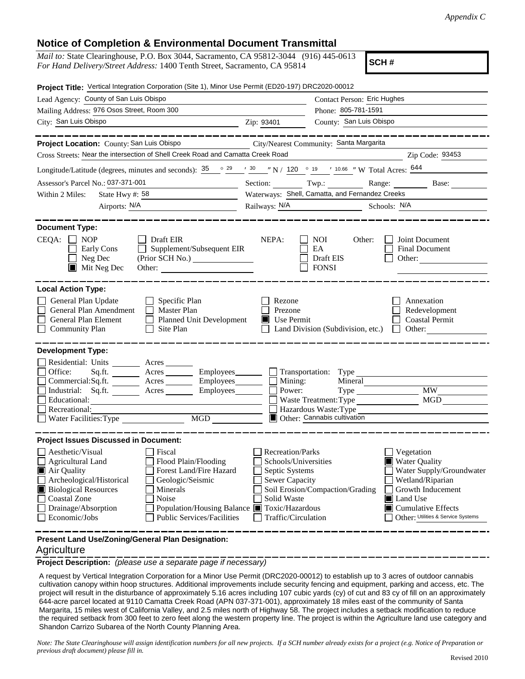## **Notice of Completion & Environmental Document Transmittal**

| <i>Mail to:</i> State Clearinghouse, P.O. Box 3044, Sacramento, CA 95812-3044 (916) 445-0613 |  |  |  |
|----------------------------------------------------------------------------------------------|--|--|--|
| For Hand Delivery/Street Address: 1400 Tenth Street, Sacramento, CA 95814                    |  |  |  |

**SCH #**

| Project Title: Vertical Integration Corporation (Site 1), Minor Use Permit (ED20-197) DRC2020-00012                                                                                                                                                                                                                                                                       |                                                                                                                           |                                                                                          |                                                                                                                                                                                                |  |  |
|---------------------------------------------------------------------------------------------------------------------------------------------------------------------------------------------------------------------------------------------------------------------------------------------------------------------------------------------------------------------------|---------------------------------------------------------------------------------------------------------------------------|------------------------------------------------------------------------------------------|------------------------------------------------------------------------------------------------------------------------------------------------------------------------------------------------|--|--|
| Lead Agency: County of San Luis Obispo                                                                                                                                                                                                                                                                                                                                    | <b>Contact Person: Eric Hughes</b>                                                                                        |                                                                                          |                                                                                                                                                                                                |  |  |
| Mailing Address: 976 Osos Street, Room 300                                                                                                                                                                                                                                                                                                                                | Phone: 805-781-1591                                                                                                       |                                                                                          |                                                                                                                                                                                                |  |  |
| City: San Luis Obispo<br><u> 1989 - Johann Barbara, martin a</u>                                                                                                                                                                                                                                                                                                          | Zip: 93401                                                                                                                | County: San Luis Obispo                                                                  |                                                                                                                                                                                                |  |  |
|                                                                                                                                                                                                                                                                                                                                                                           |                                                                                                                           |                                                                                          |                                                                                                                                                                                                |  |  |
| City/Nearest Community: Santa Margarita<br>Project Location: County: San Luis Obispo                                                                                                                                                                                                                                                                                      |                                                                                                                           |                                                                                          |                                                                                                                                                                                                |  |  |
| Cross Streets: Near the intersection of Shell Creek Road and Camatta Creek Road<br>Zip Code: 93453<br><u> 1980 - Jan Stein Stein Stein Stein Stein Stein Stein Stein Stein Stein Stein Stein Stein Stein Stein Stein S</u>                                                                                                                                                |                                                                                                                           |                                                                                          |                                                                                                                                                                                                |  |  |
| Longitude/Latitude (degrees, minutes and seconds): $\frac{35}{29}$ $\frac{29}{29}$ $\frac{7}{29}$ $\frac{30}{29}$ $\frac{1}{120}$ $\frac{120}{29}$ $\frac{9}{29}$ $\frac{19}{29}$ $\frac{10.66}{29}$ $\frac{10.66}{29}$ $\frac{10.66}{29}$ $\frac{10.66}{29}$ $\frac{10.66}{29}$                                                                                          |                                                                                                                           |                                                                                          |                                                                                                                                                                                                |  |  |
| Assessor's Parcel No.: 037-371-001<br><u> 1980 - Johann Barn, fransk politik (d. 1980)</u>                                                                                                                                                                                                                                                                                |                                                                                                                           |                                                                                          | Section: Twp.: Range: Base:                                                                                                                                                                    |  |  |
| State Hwy #: $58$<br>Within 2 Miles:                                                                                                                                                                                                                                                                                                                                      |                                                                                                                           | Waterways: Shell, Camatta, and Fernandez Creeks                                          |                                                                                                                                                                                                |  |  |
| Airports: N/A                                                                                                                                                                                                                                                                                                                                                             |                                                                                                                           | Railways: N/A Schools: N/A                                                               |                                                                                                                                                                                                |  |  |
| <b>Document Type:</b><br>CEQA:<br><b>NOP</b><br>Draft EIR<br>Supplement/Subsequent EIR<br>Early Cons<br>Neg Dec<br>$\blacksquare$ Mit Neg Dec<br>Other:                                                                                                                                                                                                                   | NEPA:                                                                                                                     | <b>NOI</b><br>Other:<br>EA<br>Draft EIS<br><b>FONSI</b>                                  | Joint Document<br>Final Document<br>Other:                                                                                                                                                     |  |  |
| <b>Local Action Type:</b><br>General Plan Update<br>$\Box$ Specific Plan<br>General Plan Amendment<br>$\Box$ Master Plan<br>General Plan Element<br>Planned Unit Development<br><b>Community Plan</b><br>Site Plan                                                                                                                                                        | Rezone<br>Prezone<br>$\blacksquare$ Use Permit                                                                            | Land Division (Subdivision, etc.)                                                        | Annexation<br>Redevelopment<br><b>Coastal Permit</b><br>Other:                                                                                                                                 |  |  |
| <b>Development Type:</b>                                                                                                                                                                                                                                                                                                                                                  |                                                                                                                           |                                                                                          |                                                                                                                                                                                                |  |  |
| Residential: Units ________ Acres ______<br>Office:<br>Sq.ft. _________ Acres ___________ Employees________<br>Commercial:Sq.ft. Acres Employees<br>Industrial: Sq.ft. _______ Acres ________ Employees_______<br>Educational:<br>Recreational:<br>MGD NGC<br>Water Facilities: Type                                                                                      | $\Box$ Mining:<br>Power:                                                                                                  | Mineral<br>Waste Treatment: Type<br>Hazardous Waste: Type<br>Other: Cannabis cultivation | <b>MW</b><br>MGD                                                                                                                                                                               |  |  |
| <b>Project Issues Discussed in Document:</b>                                                                                                                                                                                                                                                                                                                              |                                                                                                                           |                                                                                          |                                                                                                                                                                                                |  |  |
| Aesthetic/Visual<br>Fiscal<br>Flood Plain/Flooding<br>Agricultural Land<br>Forest Land/Fire Hazard<br>Air Quality<br>Archeological/Historical<br>Geologic/Seismic<br><b>Biological Resources</b><br>Minerals<br><b>Coastal Zone</b><br>Noise<br>Drainage/Absorption<br>Population/Housing Balance ■ Toxic/Hazardous<br>Economic/Jobs<br><b>Public Services/Facilities</b> | Recreation/Parks<br>Schools/Universities<br>Septic Systems<br><b>Sewer Capacity</b><br>Solid Waste<br>Traffic/Circulation | Soil Erosion/Compaction/Grading                                                          | Vegetation<br><b>Water Quality</b><br>Water Supply/Groundwater<br>Wetland/Riparian<br>Growth Inducement<br>Land Use<br>$\blacksquare$ Cumulative Effects<br>Other: Utilities & Service Systems |  |  |
| Present Land Use/Zoning/General Plan Designation:                                                                                                                                                                                                                                                                                                                         |                                                                                                                           |                                                                                          |                                                                                                                                                                                                |  |  |

## **Agriculture**

**Project Description:** *(please use a separate page if necessary)*

 A request by Vertical Integration Corporation for a Minor Use Permit (DRC2020-00012) to establish up to 3 acres of outdoor cannabis cultivation canopy within hoop structures. Additional improvements include security fencing and equipment, parking and access, etc. The project will result in the disturbance of approximately 5.16 acres including 107 cubic yards (cy) of cut and 83 cy of fill on an approximately 644-acre parcel located at 9110 Camatta Creek Road (APN 037-371-001), approximately 18 miles east of the community of Santa Margarita, 15 miles west of California Valley, and 2.5 miles north of Highway 58. The project includes a setback modification to reduce the required setback from 300 feet to zero feet along the western property line. The project is within the Agriculture land use category and Shandon Carrizo Subarea of the North County Planning Area.

*Note: The State Clearinghouse will assign identification numbers for all new projects. If a SCH number already exists for a project (e.g. Notice of Preparation or previous draft document) please fill in.*